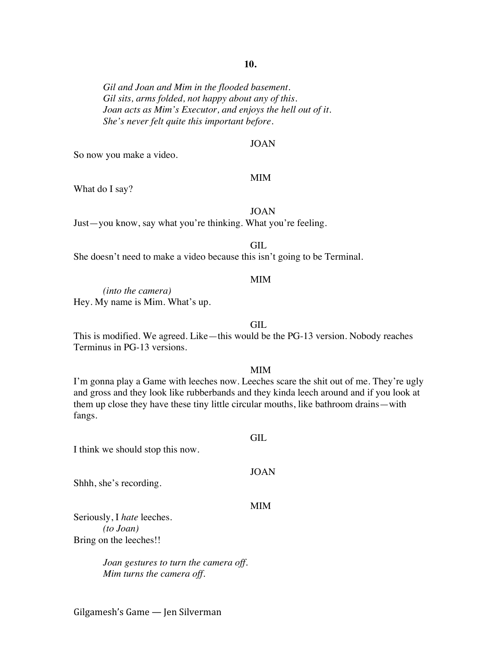## **10.**

*Gil and Joan and Mim in the flooded basement. Gil sits, arms folded, not happy about any of this. Joan acts as Mim's Executor, and enjoys the hell out of it. She's never felt quite this important before.*

#### JOAN

So now you make a video.

#### MIM

What do I say?

## JOAN

Just—you know, say what you're thinking. What you're feeling.

GIL

She doesn't need to make a video because this isn't going to be Terminal.

#### MIM

*(into the camera)* Hey. My name is Mim. What's up.

#### GIL

This is modified. We agreed. Like—this would be the PG-13 version. Nobody reaches Terminus in PG-13 versions.

#### MIM

GIL.

I'm gonna play a Game with leeches now. Leeches scare the shit out of me. They're ugly and gross and they look like rubberbands and they kinda leech around and if you look at them up close they have these tiny little circular mouths, like bathroom drains—with fangs.

I think we should stop this now.

Shhh, she's recording.

#### MIM

JOAN

Seriously, I *hate* leeches. *(to Joan)* Bring on the leeches!!

> *Joan gestures to turn the camera off. Mim turns the camera off.*

Gilgamesh's Game — Jen Silverman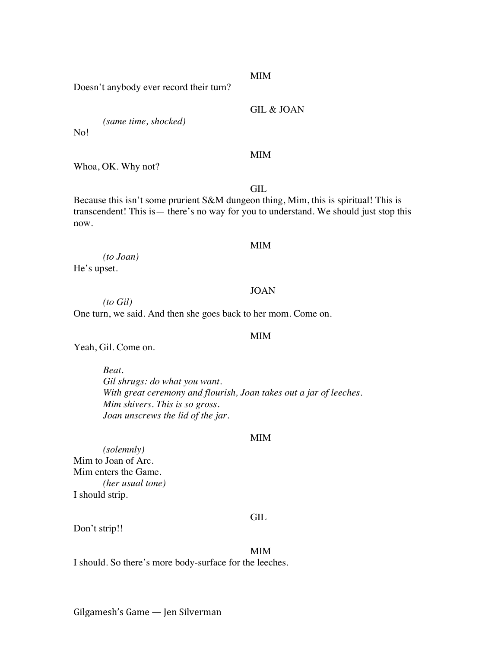#### MIM

Doesn't anybody ever record their turn?

GIL & JOAN

*(same time, shocked)*

No!

## MIM

Whoa, OK. Why not?

GIL

Because this isn't some prurient S&M dungeon thing, Mim, this is spiritual! This is transcendent! This is— there's no way for you to understand. We should just stop this now.

#### MIM

*(to Joan)* He's upset.

#### JOAN

*(to Gil)* One turn, we said. And then she goes back to her mom. Come on.

#### MIM

Yeah, Gil. Come on.

*Beat. Gil shrugs: do what you want. With great ceremony and flourish, Joan takes out a jar of leeches. Mim shivers. This is so gross. Joan unscrews the lid of the jar.*

#### MIM

*(solemnly)* Mim to Joan of Arc. Mim enters the Game. *(her usual tone)* I should strip.

#### GIL

Don't strip!!

MIM

I should. So there's more body-surface for the leeches.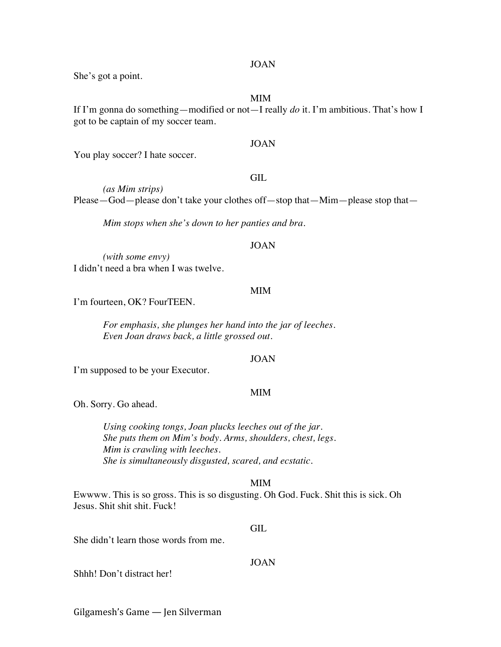#### JOAN

She's got a point.

#### MIM

If I'm gonna do something—modified or not—I really *do* it. I'm ambitious. That's how I got to be captain of my soccer team.

# JOAN

You play soccer? I hate soccer.

#### GIL

*(as Mim strips)* Please—God—please don't take your clothes off—stop that—Mim—please stop that—

*Mim stops when she's down to her panties and bra.*

#### JOAN

*(with some envy)* I didn't need a bra when I was twelve.

#### MIM

I'm fourteen, OK? FourTEEN.

*For emphasis, she plunges her hand into the jar of leeches. Even Joan draws back, a little grossed out.*

#### JOAN

I'm supposed to be your Executor.

#### MIM

Oh. Sorry. Go ahead.

*Using cooking tongs, Joan plucks leeches out of the jar. She puts them on Mim's body. Arms, shoulders, chest, legs. Mim is crawling with leeches. She is simultaneously disgusted, scared, and ecstatic.*

#### MIM

Ewwww. This is so gross. This is so disgusting. Oh God. Fuck. Shit this is sick. Oh Jesus. Shit shit shit. Fuck!

#### GIL

She didn't learn those words from me.

# JOAN

Shhh! Don't distract her!

Gilgamesh's Game — Jen Silverman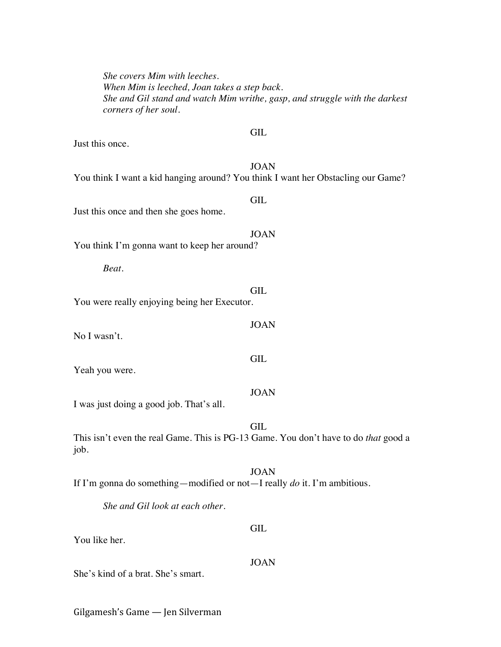*She covers Mim with leeches. When Mim is leeched, Joan takes a step back. She and Gil stand and watch Mim writhe, gasp, and struggle with the darkest corners of her soul.* **GIL** Just this once. JOAN You think I want a kid hanging around? You think I want her Obstacling our Game? GIL Just this once and then she goes home. JOAN You think I'm gonna want to keep her around? *Beat.* GIL You were really enjoying being her Executor. JOAN No I wasn't. GIL Yeah you were. JOAN I was just doing a good job. That's all. GIL This isn't even the real Game. This is PG-13 Game. You don't have to do *that* good a job. JOAN If I'm gonna do something—modified or not—I really *do* it. I'm ambitious. *She and Gil look at each other.* GIL You like her. JOAN She's kind of a brat. She's smart.